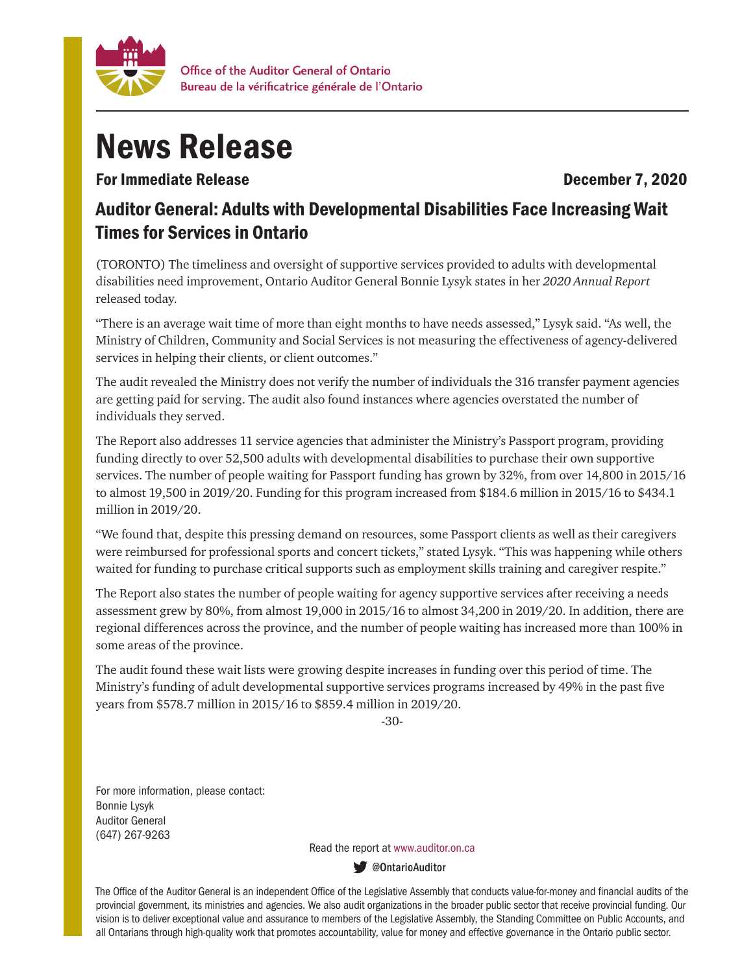

## News Release

For Immediate Release **December 7, 2020** 

## Auditor General: Adults with Developmental Disabilities Face Increasing Wait Times for Services in Ontario

(TORONTO) The timeliness and oversight of supportive services provided to adults with developmental disabilities need improvement, Ontario Auditor General Bonnie Lysyk states in her *2020 Annual Report*  released today.

"There is an average wait time of more than eight months to have needs assessed," Lysyk said. "As well, the Ministry of Children, Community and Social Services is not measuring the effectiveness of agency-delivered services in helping their clients, or client outcomes."

The audit revealed the Ministry does not verify the number of individuals the 316 transfer payment agencies are getting paid for serving. The audit also found instances where agencies overstated the number of individuals they served.

The Report also addresses 11 service agencies that administer the Ministry's Passport program, providing funding directly to over 52,500 adults with developmental disabilities to purchase their own supportive services. The number of people waiting for Passport funding has grown by 32%, from over 14,800 in 2015/16 to almost 19,500 in 2019/20. Funding for this program increased from \$184.6 million in 2015/16 to \$434.1 million in 2019/20.

"We found that, despite this pressing demand on resources, some Passport clients as well as their caregivers were reimbursed for professional sports and concert tickets," stated Lysyk. "This was happening while others waited for funding to purchase critical supports such as employment skills training and caregiver respite."

The Report also states the number of people waiting for agency supportive services after receiving a needs assessment grew by 80%, from almost 19,000 in 2015/16 to almost 34,200 in 2019/20. In addition, there are regional differences across the province, and the number of people waiting has increased more than 100% in some areas of the province.

The audit found these wait lists were growing despite increases in funding over this period of time. The Ministry's funding of adult developmental supportive services programs increased by 49% in the past five years from \$578.7 million in 2015/16 to \$859.4 million in 2019/20.

-30-

For more information, please contact: Bonnie Lysyk Auditor General (647) 267-9263

Read the report at www.auditor.on.ca

**W** @OntarioAuditor

The Office of the Auditor General is an independent Office of the Legislative Assembly that conducts value-for-money and financial audits of the provincial government, its ministries and agencies. We also audit organizations in the broader public sector that receive provincial funding. Our vision is to deliver exceptional value and assurance to members of the Legislative Assembly, the Standing Committee on Public Accounts, and all Ontarians through high-quality work that promotes accountability, value for money and effective governance in the Ontario public sector.